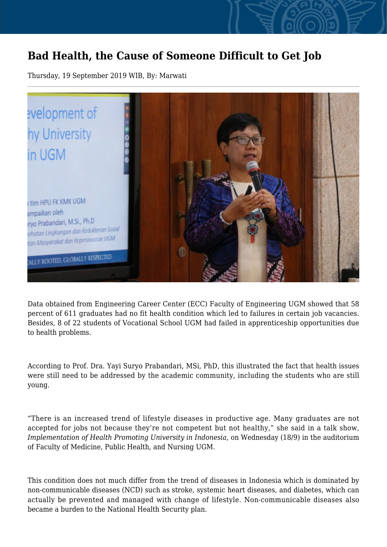## **Bad Health, the Cause of Someone Difficult to Get Job**

Thursday, 19 September 2019 WIB, By: Marwati



Data obtained from Engineering Career Center (ECC) Faculty of Engineering UGM showed that 58 percent of 611 graduates had no fit health condition which led to failures in certain job vacancies. Besides, 8 of 22 students of Vocational School UGM had failed in apprenticeship opportunities due to health problems.

According to Prof. Dra. Yayi Suryo Prabandari, MSi, PhD, this illustrated the fact that health issues were still need to be addressed by the academic community, including the students who are still young.

"There is an increased trend of lifestyle diseases in productive age. Many graduates are not accepted for jobs not because they're not competent but not healthy," she said in a talk show, *Implementation of Health Promoting University in Indonesia,* on Wednesday (18/9) in the auditorium of Faculty of Medicine, Public Health, and Nursing UGM.

This condition does not much differ from the trend of diseases in Indonesia which is dominated by non-communicable diseases (NCD) such as stroke, systemic heart diseases, and diabetes, which can actually be prevented and managed with change of lifestyle. Non-communicable diseases also became a burden to the National Health Security plan.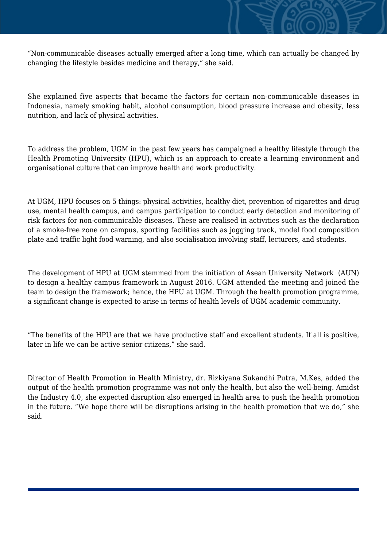"Non-communicable diseases actually emerged after a long time, which can actually be changed by changing the lifestyle besides medicine and therapy," she said.

She explained five aspects that became the factors for certain non-communicable diseases in Indonesia, namely smoking habit, alcohol consumption, blood pressure increase and obesity, less nutrition, and lack of physical activities.

To address the problem, UGM in the past few years has campaigned a healthy lifestyle through the Health Promoting University (HPU), which is an approach to create a learning environment and organisational culture that can improve health and work productivity.

At UGM, HPU focuses on 5 things: physical activities, healthy diet, prevention of cigarettes and drug use, mental health campus, and campus participation to conduct early detection and monitoring of risk factors for non-communicable diseases. These are realised in activities such as the declaration of a smoke-free zone on campus, sporting facilities such as jogging track, model food composition plate and traffic light food warning, and also socialisation involving staff, lecturers, and students.

The development of HPU at UGM stemmed from the initiation of Asean University Network (AUN) to design a healthy campus framework in August 2016. UGM attended the meeting and joined the team to design the framework; hence, the HPU at UGM. Through the health promotion programme, a significant change is expected to arise in terms of health levels of UGM academic community.

"The benefits of the HPU are that we have productive staff and excellent students. If all is positive, later in life we can be active senior citizens," she said.

Director of Health Promotion in Health Ministry, dr. Rizkiyana Sukandhi Putra, M.Kes, added the output of the health promotion programme was not only the health, but also the well-being. Amidst the Industry 4.0, she expected disruption also emerged in health area to push the health promotion in the future. "We hope there will be disruptions arising in the health promotion that we do," she said.